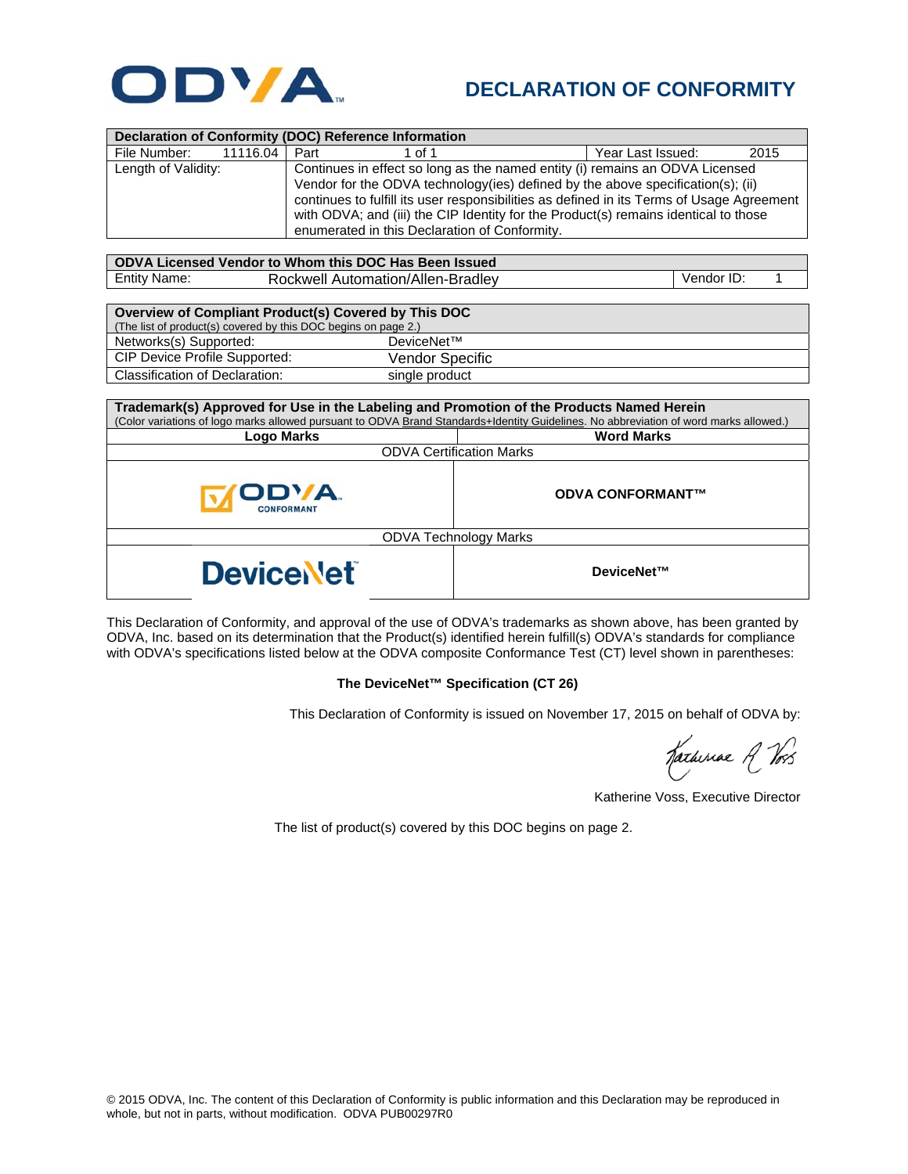

## **DECLARATION OF CONFORMITY**

| Declaration of Conformity (DOC) Reference Information          |                                                                                           |                   |            |  |  |  |  |
|----------------------------------------------------------------|-------------------------------------------------------------------------------------------|-------------------|------------|--|--|--|--|
| File Number:<br>11116.04                                       | Part<br>1 of 1                                                                            | Year Last Issued: | 2015       |  |  |  |  |
| Length of Validity:                                            | Continues in effect so long as the named entity (i) remains an ODVA Licensed              |                   |            |  |  |  |  |
|                                                                | Vendor for the ODVA technology(ies) defined by the above specification(s); (ii)           |                   |            |  |  |  |  |
|                                                                | continues to fulfill its user responsibilities as defined in its Terms of Usage Agreement |                   |            |  |  |  |  |
|                                                                | with ODVA; and (iii) the CIP Identity for the Product(s) remains identical to those       |                   |            |  |  |  |  |
|                                                                | enumerated in this Declaration of Conformity.                                             |                   |            |  |  |  |  |
|                                                                |                                                                                           |                   |            |  |  |  |  |
| ODVA Licensed Vendor to Whom this DOC Has Been Issued          |                                                                                           |                   |            |  |  |  |  |
| Entity Name:                                                   | Rockwell Automation/Allen-Bradley                                                         |                   | Vendor ID: |  |  |  |  |
|                                                                |                                                                                           |                   |            |  |  |  |  |
| Overview of Compliant Product(s) Covered by This DOC           |                                                                                           |                   |            |  |  |  |  |
| (The list of product(s) covered by this DOC begins on page 2.) |                                                                                           |                   |            |  |  |  |  |
| Networks(s) Supported:                                         | DeviceNet™                                                                                |                   |            |  |  |  |  |
| CIP Device Profile Supported:                                  | Vendor Specific                                                                           |                   |            |  |  |  |  |
| <b>Classification of Declaration:</b>                          | single product                                                                            |                   |            |  |  |  |  |

| Trademark(s) Approved for Use in the Labeling and Promotion of the Products Named Herein                                              |                         |  |  |  |  |
|---------------------------------------------------------------------------------------------------------------------------------------|-------------------------|--|--|--|--|
| (Color variations of logo marks allowed pursuant to ODVA Brand Standards+Identity Guidelines. No abbreviation of word marks allowed.) |                         |  |  |  |  |
| <b>Logo Marks</b>                                                                                                                     | <b>Word Marks</b>       |  |  |  |  |
| <b>ODVA Certification Marks</b>                                                                                                       |                         |  |  |  |  |
| ODVA.<br>CONFORMANT                                                                                                                   | <b>ODVA CONFORMANT™</b> |  |  |  |  |
| <b>ODVA Technology Marks</b>                                                                                                          |                         |  |  |  |  |
| <b>Device Vet</b>                                                                                                                     | DeviceNet™              |  |  |  |  |

This Declaration of Conformity, and approval of the use of ODVA's trademarks as shown above, has been granted by ODVA, Inc. based on its determination that the Product(s) identified herein fulfill(s) ODVA's standards for compliance with ODVA's specifications listed below at the ODVA composite Conformance Test (CT) level shown in parentheses:

## **The DeviceNet™ Specification (CT 26)**

This Declaration of Conformity is issued on November 17, 2015 on behalf of ODVA by:

Katheriae R Vos

Katherine Voss, Executive Director

The list of product(s) covered by this DOC begins on page 2.